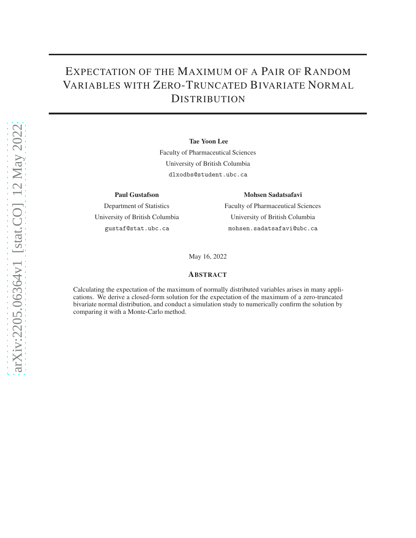# EXPECTATION OF THE MAXIMUM OF A PAIR OF RANDOM VARIABLES WITH ZERO-TRUNCATED BIVARIATE NORMAL **DISTRIBUTION**

#### Tae Yoon Lee

Faculty of Pharmaceutical Sciences University of British Columbia dlxodbs@student.ubc.ca

#### Paul Gustafson

Department of Statistics University of British Columbia gustaf@stat.ubc.ca

#### Mohsen Sadatsafavi

Faculty of Pharmaceutical Sciences University of British Columbia mohsen.sadatsafavi@ubc.ca

May 16, 2022

#### ABSTRACT

Calculating the expectation of the maximum of normally distributed variables arises in many applications. We derive a closed-form solution for the expectation of the maximum of a zero-truncated bivariate normal distribution, and conduct a simulation study to numerically confirm the solution by comparing it with a Monte-Carlo method.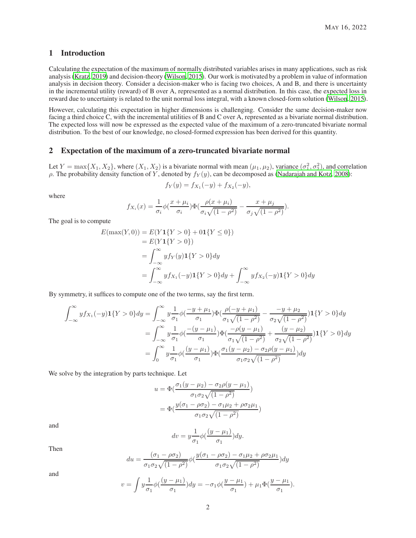### 1 Introduction

Calculating the expectation of the maximum of normally distributed variables arises in many applications, such as risk analysis [\(Kratz, 2019\)](#page-9-0) and decision-theory [\(Wilson](#page-9-1), [2015\)](#page-9-1). Our work is motivated by a problem in value of information analysis in decision theory. Consider a decision-maker who is facing two choices, A and B, and there is uncertainty in the incremental utility (reward) of B over A, represented as a normal distribution. In this case, the expected loss in reward due to uncertainty is related to the unit normal loss integral, with a known closed-form solution [\(Wilson](#page-9-1), [2015\)](#page-9-1).

However, calculating this expectation in higher dimensions is challenging. Consider the same decision-maker now facing a third choice C, with the incremental utilities of B and C over A, represented as a bivariate normal distribution. The expected loss will now be expressed as the expected value of the maximum of a zero-truncated bivariate normal distribution. To the best of our knowledge, no closed-formed expression has been derived for this quantity.

#### 2 Expectation of the maximum of a zero-truncated bivariate normal

Let  $Y = \max\{X_1, X_2\}$ , where  $(X_1, X_2)$  is a bivariate normal with mean  $(\mu_1, \mu_2)$ , variance  $(\sigma_1^2, \sigma_2^2)$ , and correlation ρ. The probability density function of Y, denoted by  $f_Y(y)$ , can be decomposed as [\(Nadarajah and Kotz, 2008\)](#page-9-2):

$$
f_Y(y) = f_{X_1}(-y) + f_{X_2}(-y),
$$

where

$$
f_{X_i}(x) = \frac{1}{\sigma_i} \phi\left(\frac{x + \mu_i}{\sigma_i}\right) \Phi\left(\frac{\rho(x + \mu_i)}{\sigma_i \sqrt{(1 - \rho^2)}} - \frac{x + \mu_j}{\sigma_j \sqrt{(1 - \rho^2)}}\right).
$$

The goal is to compute

$$
E(\max(Y,0)) = E(Y1\{Y > 0\} + 01\{Y \le 0\})
$$
  
=  $E(Y1\{Y > 0\})$   
=  $\int_{-\infty}^{\infty} y f_Y(y) 1\{Y > 0\} dy$   
=  $\int_{-\infty}^{\infty} y f_{X_1}(-y) 1\{Y > 0\} dy + \int_{-\infty}^{\infty} y f_{X_2}(-y) 1\{Y > 0\} dy$ 

By symmetry, it suffices to compute one of the two terms, say the first term.

$$
\int_{-\infty}^{\infty} y f_{X_1}(-y) \mathbf{1}\{Y > 0\} dy = \int_{-\infty}^{\infty} y \frac{1}{\sigma_1} \phi\left(\frac{-y + \mu_1}{\sigma_1}\right) \Phi\left(\frac{\rho(-y + \mu_1)}{\sigma_1 \sqrt{(1 - \rho^2)}} - \frac{-y + \mu_2}{\sigma_2 \sqrt{(1 - \rho^2)}}\right) \mathbf{1}\{Y > 0\} dy
$$

$$
= \int_{-\infty}^{\infty} y \frac{1}{\sigma_1} \phi\left(\frac{-(y - \mu_1)}{\sigma_1}\right) \Phi\left(\frac{-\rho(y - \mu_1)}{\sigma_1 \sqrt{(1 - \rho^2)}} + \frac{(y - \mu_2)}{\sigma_2 \sqrt{(1 - \rho^2)}}\right) \mathbf{1}\{Y > 0\} dy
$$

$$
= \int_{0}^{\infty} y \frac{1}{\sigma_1} \phi\left(\frac{(y - \mu_1)}{\sigma_1}\right) \Phi\left(\frac{\sigma_1(y - \mu_2) - \sigma_2 \rho(y - \mu_1)}{\sigma_1 \sigma_2 \sqrt{(1 - \rho^2)}}\right) dy
$$

We solve by the integration by parts technique. Let

$$
u = \Phi\left(\frac{\sigma_1(y - \mu_2) - \sigma_2 \rho(y - \mu_1)}{\sigma_1 \sigma_2 \sqrt{(1 - \rho^2)}}\right)
$$

$$
= \Phi\left(\frac{y(\sigma_1 - \rho \sigma_2) - \sigma_1 \mu_2 + \rho \sigma_2 \mu_1}{\sigma_1 \sigma_2 \sqrt{(1 - \rho^2)}}\right)
$$

and

$$
dv = y \frac{1}{\sigma_1} \phi \left( \frac{(y - \mu_1)}{\sigma_1} \right) dy.
$$

Then

$$
du = \frac{(\sigma_1 - \rho \sigma_2)}{\sigma_1 \sigma_2 \sqrt{(1 - \rho^2)}} \phi \left( \frac{y(\sigma_1 - \rho \sigma_2) - \sigma_1 \mu_2 + \rho \sigma_2 \mu_1}{\sigma_1 \sigma_2 \sqrt{(1 - \rho^2)}} \right) dy
$$

and

$$
v = \int y \frac{1}{\sigma_1} \phi \left( \frac{(y - \mu_1)}{\sigma_1} \right) dy = -\sigma_1 \phi \left( \frac{y - \mu_1}{\sigma_1} \right) + \mu_1 \Phi \left( \frac{y - \mu_1}{\sigma_1} \right).
$$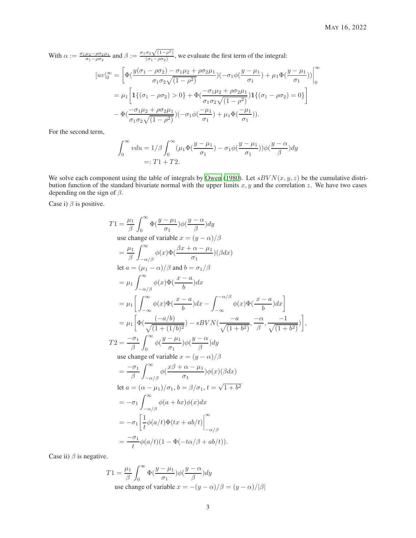With  $\alpha := \frac{\sigma_1 \mu_2 - \rho \sigma_2 \mu_1}{\sigma_1 - \rho \sigma_2}$  and  $\beta := \frac{\sigma_1 \sigma_2 \sqrt{(1-\rho^2)}}{(\sigma_1 - \rho \sigma_2)}$  $\frac{\partial^2 \mathcal{N}(1-p)}{\partial (q_1 - \rho \sigma_2)}$ , we evaluate the first term of the integral:

$$
[uv]_0^{\infty} = \left[ \Phi\left(\frac{y(\sigma_1 - \rho \sigma_2) - \sigma_1 \mu_2 + \rho \sigma_2 \mu_1}{\sigma_1 \sigma_2 \sqrt{(1 - \rho^2)}}\right) (-\sigma_1 \phi\left(\frac{y - \mu_1}{\sigma_1}\right) + \mu_1 \Phi\left(\frac{y - \mu_1}{\sigma_1}\right)) \right]_0^{\infty}
$$
  
=  $\mu_1 \left[ \mathbf{1} \{ (\sigma_1 - \rho \sigma_2) > 0 \} + \Phi\left(\frac{-\sigma_1 \mu_2 + \rho \sigma_2 \mu_1}{\sigma_1 \sigma_2 \sqrt{(1 - \rho^2)}}\right) \mathbf{1} \{ (\sigma_1 - \rho \sigma_2) = 0 \} \right]$   
-  $\Phi\left(\frac{-\sigma_1 \mu_2 + \rho \sigma_2 \mu_1}{\sigma_1 \sigma_2 \sqrt{(1 - \rho^2)}}\right) (-\sigma_1 \phi\left(\frac{-\mu_1}{\sigma_1}\right) + \mu_1 \Phi\left(\frac{-\mu_1}{\sigma_1}\right)).$ 

For the second term,

$$
\int_0^\infty v du = 1/\beta \int_0^\infty (\mu_1 \Phi(\frac{y - \mu_1}{\sigma_1}) - \sigma_1 \phi(\frac{y - \mu_1}{\sigma_1})) \phi(\frac{y - \alpha}{\beta}) dy
$$
  
=: T1 + T2.

We solve each component using the table of integrals by [Owen \(1980](#page-9-3)). Let  $sBVN(x, y, z)$  be the cumulative distribution function of the standard bivariate normal with the upper limits  $x, y$  and the correlation  $z$ . We have two cases depending on the sign of  $\beta$ .

Case i)  $\beta$  is positive.

$$
T1 = \frac{\mu_1}{\beta} \int_0^{\infty} \Phi(\frac{y-\mu_1}{\sigma_1}) \phi(\frac{y-\alpha}{\beta}) dy
$$
  
use change of variable  $x = (y - \alpha)/\beta$   

$$
= \frac{\mu_1}{\beta} \int_{-\alpha/\beta}^{\infty} \phi(x) \Phi(\frac{\beta x + \alpha - \mu_1}{\sigma_1}) (\beta dx)
$$
  
let  $a = (\mu_1 - \alpha)/\beta$  and  $b = \sigma_1/\beta$   

$$
= \mu_1 \int_{-\alpha/\beta}^{\infty} \phi(x) \Phi(\frac{x-\alpha}{b}) dx
$$
  

$$
= \mu_1 \left[ \int_{-\infty}^{\infty} \phi(x) \Phi(\frac{x-\alpha}{b}) dx - \int_{-\infty}^{-\alpha/\beta} \phi(x) \Phi(\frac{x-\alpha}{b}) dx \right]
$$
  

$$
= \mu_1 \left[ \Phi(\frac{(-a/b)}{\sqrt{(1 + (1/b)^2})} - sBVN(\frac{-a}{\sqrt{(1 + b^2)}}, \frac{-\alpha}{\beta}, \frac{-1}{\sqrt{(1 + b^2)}}) \right],
$$
  

$$
T2 = \frac{-\sigma_1}{\beta} \int_{0}^{\infty} \phi(\frac{y-\mu_1}{\sigma_1}) \phi(\frac{y-\alpha}{\beta}) dy
$$
  
use change of variable  $x = (y - \alpha)/\beta$   

$$
= \frac{-\sigma_1}{\beta} \int_{-\alpha/\beta}^{\infty} \phi(\frac{x\beta + \alpha - \mu_1}{\sigma_1}) \phi(x) (\beta dx)
$$
  
let  $a = (\alpha - \mu_1)/\sigma_1, b = \beta/\sigma_1, t = \sqrt{1 + b^2}$   

$$
= -\sigma_1 \int_{-\alpha/\beta}^{\infty} \phi(a + bx) \phi(x) dx
$$
  

$$
= -\sigma_1 \left[ \frac{1}{t} \phi(a/t) \Phi(tx + ab/t) \right]_{-\alpha/\beta}^{\infty}
$$
  

$$
= \frac{-\sigma_1}{t} \phi(a/t) (1 - \Phi(-t\alpha/\beta + ab/t)).
$$

Case ii)  $\beta$  is negative.

$$
T1 = \frac{\mu_1}{\beta} \int_0^\infty \Phi(\frac{y - \mu_1}{\sigma_1}) \phi(\frac{y - \alpha}{\beta}) dy
$$
use change of variable  $x = -(y - \alpha)/\beta = (y - \alpha)/|\beta|$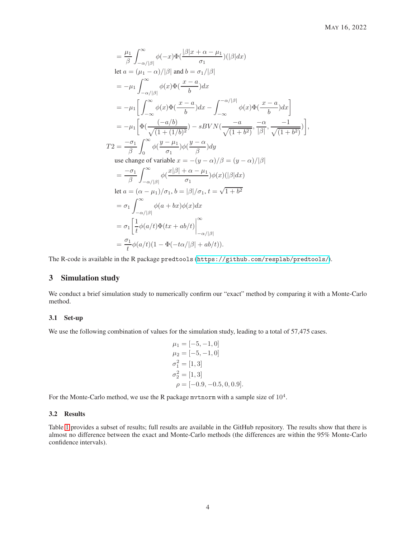$$
\begin{split}\n&= \frac{\mu_1}{\beta} \int_{-\alpha/\beta}^{\infty} \phi(-x) \Phi(\frac{|\beta|x+\alpha-\mu_1}{\sigma_1})(|\beta|dx) \\
\text{let } a &= (\mu_1 - \alpha)/|\beta| \text{ and } b = \sigma_1/|\beta| \\
&= -\mu_1 \int_{-\alpha/\beta}^{\infty} \phi(x) \Phi(\frac{x-a}{b}) dx \\
&= -\mu_1 \Biggl[ \int_{-\infty}^{\infty} \phi(x) \Phi(\frac{x-a}{b}) dx - \int_{-\infty}^{-\alpha/\beta} \phi(x) \Phi(\frac{x-a}{b}) dx \Biggr] \\
&= -\mu_1 \Biggl[ \Phi(\frac{(-a/b)}{\sqrt{(1+(1/b)^2})} - sBVN(\frac{-a}{\sqrt{(1+b^2)}}, \frac{-\alpha}{|\beta|}, \frac{-1}{\sqrt{(1+b^2)}}) \Biggr], \\
T2 &= \frac{-\sigma_1}{\beta} \int_{0}^{\infty} \phi(\frac{y-\mu_1}{\sigma_1}) \phi(\frac{y-\alpha}{\beta}) dy \\
&\text{use change of variable } x = -(y-\alpha)/\beta = (y-\alpha)/|\beta| \\
&= \frac{-\sigma_1}{\beta} \int_{-\alpha/|\beta|}^{\infty} \phi(\frac{x|\beta|+\alpha-\mu_1}{\sigma_1}) \phi(x)(|\beta|dx) \\
\text{let } a &= (\alpha - \mu_1)/\sigma_1, b = |\beta|/\sigma_1, t = \sqrt{1+b^2} \\
&= \sigma_1 \int_{-\alpha/|\beta|}^{\infty} \phi(a+bx) \phi(x) dx \\
&= \sigma_1 \Biggl[ \frac{1}{t} \phi(a/t) \Phi(tx+ab/t) \Biggr]_{-\alpha/|\beta|}^{\infty} \\
&= \frac{\sigma_1}{t} \phi(a/t)(1-\Phi(-t\alpha/|\beta|+ab/t)).\n\end{split}
$$

The R-code is available in the R package predtools (<https://github.com/resplab/predtools/>).

## 3 Simulation study

We conduct a brief simulation study to numerically confirm our "exact" method by comparing it with a Monte-Carlo method.

#### 3.1 Set-up

We use the following combination of values for the simulation study, leading to a total of 57,475 cases.

$$
\mu_1 = [-5, -1, 0] \n\mu_2 = [-5, -1, 0] \n\sigma_1^2 = [1, 3] \n\sigma_2^2 = [1, 3] \n\rho = [-0.9, -0.5, 0, 0.9].
$$

For the Monte-Carlo method, we use the R package mvtnorm with a sample size of  $10^4$ .

#### 3.2 Results

Table [1](#page-4-0) provides a subset of results; full results are available in the GitHub repository. The results show that there is almost no difference between the exact and Monte-Carlo methods (the differences are within the 95% Monte-Carlo confidence intervals).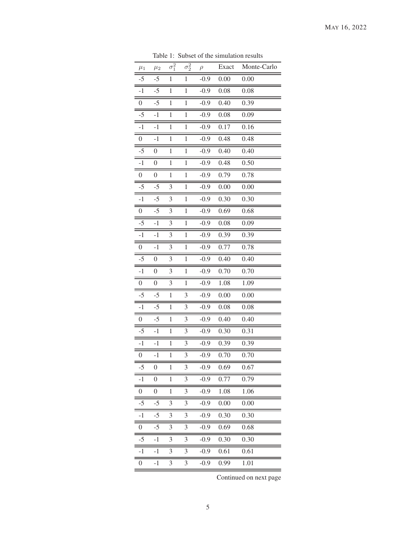<span id="page-4-0"></span>

| $\mu_1$          | $\mu_2$          | $\overline{\sigma_1^2}$ | $\overline{\sigma_2^2}$ | $\rho$ | Exact | Monte-Carlo |
|------------------|------------------|-------------------------|-------------------------|--------|-------|-------------|
| $-5$             | $-5$             | $\mathbf{1}$            | $\mathbf{1}$            | $-0.9$ | 0.00  | 0.00        |
| $-1$             | $-5$             | $\mathbf{1}$            | $\,1$                   | $-0.9$ | 0.08  | 0.08        |
| $\boldsymbol{0}$ | $-5$             | $\mathbf{1}$            | $\mathbf{1}$            | $-0.9$ | 0.40  | 0.39        |
| $-5$             | $-1$             | $\mathbf{1}$            | $\mathbf{1}$            | $-0.9$ | 0.08  | 0.09        |
| $-1$             | $-1$             | $\mathbf{1}$            | $\mathbf{1}$            | $-0.9$ | 0.17  | 0.16        |
| $\boldsymbol{0}$ | $-1$             | $\mathbf{1}$            | $\mathbf{1}$            | $-0.9$ | 0.48  | 0.48        |
| $-5$             | $\boldsymbol{0}$ | $\mathbf{1}$            | $\mathbf{1}$            | $-0.9$ | 0.40  | 0.40        |
| $-1$             | $\boldsymbol{0}$ | $\mathbf{1}$            | $\mathbf{1}$            | $-0.9$ | 0.48  | 0.50        |
| $\boldsymbol{0}$ | $\boldsymbol{0}$ | $\mathbf{1}$            | $\mathbf{1}$            | $-0.9$ | 0.79  | 0.78        |
| $-5$             | $-5$             | 3                       | $\mathbf{1}$            | $-0.9$ | 0.00  | 0.00        |
| $-1$             | $-5$             | 3                       | $\,1$                   | $-0.9$ | 0.30  | 0.30        |
| $\boldsymbol{0}$ | $-5$             | 3                       | $\mathbf{1}$            | $-0.9$ | 0.69  | 0.68        |
| $-5$             | $-1$             | 3                       | $\mathbf{1}$            | $-0.9$ | 0.08  | 0.09        |
| $-1$             | $-1$             | 3                       | 1                       | $-0.9$ | 0.39  | 0.39        |
| $\boldsymbol{0}$ | $-1$             | 3                       | 1                       | $-0.9$ | 0.77  | 0.78        |
| $-5$             | $\boldsymbol{0}$ | 3                       | $\mathbf{1}$            | $-0.9$ | 0.40  | 0.40        |
| $-1$             | $\boldsymbol{0}$ | 3                       | $\mathbf{1}$            | $-0.9$ | 0.70  | 0.70        |
| $\boldsymbol{0}$ | $\boldsymbol{0}$ | 3                       | $\mathbf{1}$            | $-0.9$ | 1.08  | 1.09        |
| $-5$             | $-5$             | $\mathbf{1}$            | 3                       | $-0.9$ | 0.00  | 0.00        |
| $-1$             | $-5$             | $\mathbf{1}$            | 3                       | $-0.9$ | 0.08  | 0.08        |
| $\boldsymbol{0}$ | $-5$             | $\mathbf{1}$            | 3                       | $-0.9$ | 0.40  | 0.40        |
| $-5$             | $-1$             | $\mathbf{1}$            | 3                       | $-0.9$ | 0.30  | 0.31        |
| $-1$             | $-1$             | $\mathbf{1}$            | 3                       | $-0.9$ | 0.39  | 0.39        |
| $\boldsymbol{0}$ | $-1$             | $\mathbf{1}$            | 3                       | $-0.9$ | 0.70  | 0.70        |
| $-5$             | $\boldsymbol{0}$ | 1                       | 3                       | $-0.9$ | 0.69  | 0.67        |
| $-1$             | $\overline{0}$   | $\mathbf{1}$            | 3                       | $-0.9$ | 0.77  | 0.79        |
| 0                | $\boldsymbol{0}$ | $\mathbf{1}$            | 3                       | $-0.9$ | 1.08  | 1.06        |
| $-5$             | $-5$             | 3                       | 3                       | $-0.9$ | 0.00  | 0.00        |
| $-1$             | $-5$             | 3                       | 3                       | $-0.9$ | 0.30  | 0.30        |
| 0                | $-5$             | 3                       | 3                       | $-0.9$ | 0.69  | 0.68        |
| $-5$             | $-1$             | 3                       | 3                       | $-0.9$ | 0.30  | 0.30        |
| $-1$             | $-1$             | 3                       | 3                       | $-0.9$ | 0.61  | 0.61        |
| 0                | $-1$             | 3                       | 3                       | $-0.9$ | 0.99  | 1.01        |

Table 1: Subset of the simulation results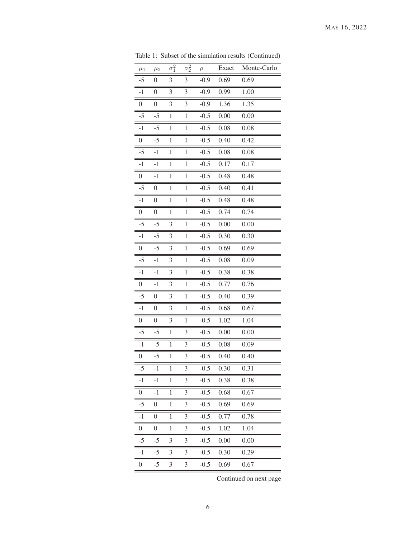| $\mu_1$          | $\mu_2$          | $\overline{\sigma_1^2}$ | $\overline{\sigma_2^2}$ | $\rho$ | Exact | Monte-Carlo |
|------------------|------------------|-------------------------|-------------------------|--------|-------|-------------|
| $-5$             | $\boldsymbol{0}$ | 3                       | $\overline{3}$          | $-0.9$ | 0.69  | 0.69        |
| $-1$             | $\boldsymbol{0}$ | 3                       | 3                       | $-0.9$ | 0.99  | 1.00        |
| $\boldsymbol{0}$ | $\boldsymbol{0}$ | 3                       | 3                       | $-0.9$ | 1.36  | 1.35        |
| $-5$             | $-5$             | $\mathbf{1}$            | $\,1$                   | $-0.5$ | 0.00  | 0.00        |
| $-1$             | $-5$             | $\mathbf{1}$            | $\mathbf{1}$            | $-0.5$ | 0.08  | 0.08        |
| $\boldsymbol{0}$ | $-5$             | $\mathbf{1}$            | $\mathbf{1}$            | $-0.5$ | 0.40  | 0.42        |
| $-5$             | $-1$             | $\mathbf{1}$            | $\mathbf{1}$            | $-0.5$ | 0.08  | 0.08        |
| $-1$             | $-1$             | $\mathbf{1}$            | $\mathbf{1}$            | $-0.5$ | 0.17  | 0.17        |
| $\boldsymbol{0}$ | $-1$             | $\,1$                   | $\mathbf{1}$            | $-0.5$ | 0.48  | 0.48        |
| $-5$             | $\boldsymbol{0}$ | $\mathbf{1}$            | $\mathbf{1}$            | $-0.5$ | 0.40  | 0.41        |
| $-1$             | $\boldsymbol{0}$ | $\,1$                   | $\mathbf{1}$            | $-0.5$ | 0.48  | 0.48        |
| $\boldsymbol{0}$ | $\boldsymbol{0}$ | $\mathbf{1}$            | $\mathbf{1}$            | $-0.5$ | 0.74  | 0.74        |
| $-5$             | $-5$             | 3                       | $\mathbf{1}$            | $-0.5$ | 0.00  | 0.00        |
| $-1$             | $-5$             | 3                       | $\mathbf{1}$            | $-0.5$ | 0.30  | 0.30        |
| $\boldsymbol{0}$ | $-5$             | 3                       | $\,1$                   | $-0.5$ | 0.69  | 0.69        |
| $-5$             | $-1$             | 3                       | $\mathbf{1}$            | $-0.5$ | 0.08  | 0.09        |
| $-1$             | $-1$             | 3                       | $\mathbf{1}$            | $-0.5$ | 0.38  | 0.38        |
| $\boldsymbol{0}$ | $-1$             | 3                       | $\mathbf{1}$            | $-0.5$ | 0.77  | 0.76        |
| $-5$             | $\boldsymbol{0}$ | 3                       | $\mathbf{1}$            | $-0.5$ | 0.40  | 0.39        |
| $\overline{-1}$  | $\boldsymbol{0}$ | 3                       | $\mathbf{1}$            | $-0.5$ | 0.68  | 0.67        |
| $\boldsymbol{0}$ | $\boldsymbol{0}$ | 3                       | $\mathbf{1}$            | $-0.5$ | 1.02  | 1.04        |
| $-5$             | $-5$             | $\mathbf{1}$            | 3                       | $-0.5$ | 0.00  | 0.00        |
| $-1$             | $-5$             | $\mathbf{1}$            | 3                       | $-0.5$ | 0.08  | 0.09        |
| $\boldsymbol{0}$ | $-5$             | $\mathbf{1}$            | $\mathfrak{Z}$          | $-0.5$ | 0.40  | 0.40        |
| $-5$             | $-1$             | 1                       | 3                       | $-0.5$ | 0.30  | 0.31        |
| $-1$             | $-1$             | 1                       | 3                       | $-0.5$ | 0.38  | 0.38        |
| 0                | $-1$             | $\mathbf{1}$            | 3                       | $-0.5$ | 0.68  | 0.67        |
| $-5$             | 0                | $\mathbf{1}$            | 3                       | $-0.5$ | 0.69  | 0.69        |
| $-1$             | $\boldsymbol{0}$ | $\mathbf{1}$            | 3                       | $-0.5$ | 0.77  | 0.78        |
| 0                | $\boldsymbol{0}$ | $\mathbf{1}$            | 3                       | $-0.5$ | 1.02  | 1.04        |
| -5               | $-5$             | 3                       | 3                       | $-0.5$ | 0.00  | 0.00        |
| -1               | $-5$             | 3                       | 3                       | $-0.5$ | 0.30  | 0.29        |
| 0                | -5               | 3                       | 3                       | $-0.5$ | 0.69  | 0.67        |
|                  |                  |                         |                         |        |       |             |

Table 1: Subset of the simulation results (Continued)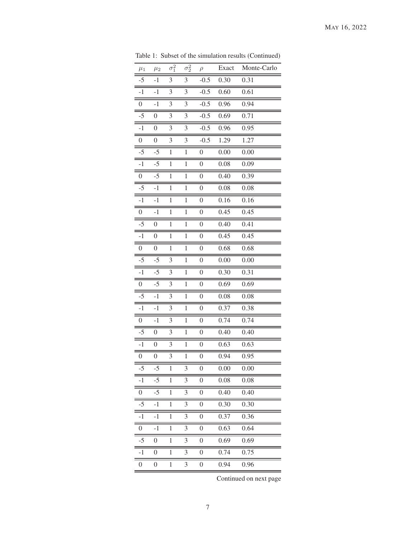| $\mu_1$          | $\mu_2$          | $\overline{\sigma_1^2}$ | $\overline{\sigma_2^2}$ | $\rho$           | Exact | Monte-Carlo |
|------------------|------------------|-------------------------|-------------------------|------------------|-------|-------------|
| $-5$             | $-1$             | 3                       | $\mathfrak{Z}$          | $-0.5$           | 0.30  | 0.31        |
| $\overline{-1}$  | $-1$             | 3                       | 3                       | $-0.5$           | 0.60  | 0.61        |
| $\boldsymbol{0}$ | $-1$             | 3                       | 3                       | $-0.5$           | 0.96  | 0.94        |
| $-5$             | $\boldsymbol{0}$ | 3                       | 3                       | $-0.5$           | 0.69  | 0.71        |
| $\overline{-1}$  | $\boldsymbol{0}$ | 3                       | 3                       | $-0.5$           | 0.96  | 0.95        |
| $\overline{0}$   | $\boldsymbol{0}$ | 3                       | 3                       | $-0.5$           | 1.29  | 1.27        |
| $-5$             | $-5$             | $\mathbf{1}$            | $\,1$                   | $\overline{0}$   | 0.00  | 0.00        |
| $-1$             | $-5$             | $\mathbf{1}$            | $\mathbf{1}$            | $\overline{0}$   | 0.08  | 0.09        |
| $\boldsymbol{0}$ | $-5$             | $\mathbf{1}$            | $\mathbf{1}$            | $\boldsymbol{0}$ | 0.40  | 0.39        |
| $-5$             | $^{\rm -1}$      | $\mathbf{1}$            | $\mathbf{1}$            | $\boldsymbol{0}$ | 0.08  | 0.08        |
| $-1$             | $-1$             | $\mathbf{1}$            | $\mathbf{1}$            | $\boldsymbol{0}$ | 0.16  | 0.16        |
| $\boldsymbol{0}$ | $-1$             | $\mathbf{1}$            | $\mathbf{1}$            | $\boldsymbol{0}$ | 0.45  | 0.45        |
| $-5$             | $\boldsymbol{0}$ | $\mathbf{1}$            | $\mathbf{1}$            | $\boldsymbol{0}$ | 0.40  | 0.41        |
| $-1$             | $\boldsymbol{0}$ | $\mathbf{1}$            | $\mathbf{1}$            | $\boldsymbol{0}$ | 0.45  | 0.45        |
| $\boldsymbol{0}$ | $\boldsymbol{0}$ | 1                       | 1                       | $\boldsymbol{0}$ | 0.68  | 0.68        |
| $-5$             | $-5$             | 3                       | $\mathbf{1}$            | $\boldsymbol{0}$ | 0.00  | 0.00        |
| $-1$             | $-5$             | 3                       | $\mathbf{1}$            | $\boldsymbol{0}$ | 0.30  | 0.31        |
| $\boldsymbol{0}$ | $-5$             | 3                       | $\mathbf{1}$            | 0                | 0.69  | 0.69        |
| $-5$             | $-1$             | 3                       | $\mathbf{1}$            | $\boldsymbol{0}$ | 0.08  | 0.08        |
| $-1$             | $^{\rm -1}$      | 3                       | $\mathbf{1}$            | $\boldsymbol{0}$ | 0.37  | 0.38        |
| $\boldsymbol{0}$ | $-1$             | 3                       | $\mathbf{1}$            | $\boldsymbol{0}$ | 0.74  | 0.74        |
| $-5$             | $\boldsymbol{0}$ | 3                       | $\mathbf{1}$            | $\boldsymbol{0}$ | 0.40  | 0.40        |
| $-1$             | $\overline{0}$   | 3                       | $\mathbf{1}$            | $\boldsymbol{0}$ | 0.63  | 0.63        |
| $\boldsymbol{0}$ | $\boldsymbol{0}$ | 3                       | $\mathbf{1}$            | $\overline{0}$   | 0.94  | 0.95        |
| $-5$             | $-5$             | $\mathbf{1}$            | 3                       | $\boldsymbol{0}$ | 0.00  | 0.00        |
| $-1$             | $-5$             | $\mathbf{1}$            | 3                       | $\boldsymbol{0}$ | 0.08  | 0.08        |
| $\boldsymbol{0}$ | $-5$             | $\mathbf{1}$            | 3                       | $\boldsymbol{0}$ | 0.40  | 0.40        |
| -5               | $^{\rm -1}$      | $\mathbf{1}$            | 3                       | $\boldsymbol{0}$ | 0.30  | 0.30        |
| $-1$             | $-1$             | $\mathbf{1}$            | 3                       | 0                | 0.37  | 0.36        |
| 0                | $-1$             | $\mathbf{1}$            | 3                       | $\boldsymbol{0}$ | 0.63  | 0.64        |
| $-5$             | $\boldsymbol{0}$ | $\mathbf{1}$            | 3                       | 0                | 0.69  | 0.69        |
| $-1$             | $\boldsymbol{0}$ | $\mathbf{1}$            | 3                       | $\boldsymbol{0}$ | 0.74  | 0.75        |
| 0                | $\boldsymbol{0}$ | $\mathbf{1}$            | 3                       | $\boldsymbol{0}$ | 0.94  | 0.96        |
|                  |                  |                         |                         |                  |       |             |

Table 1: Subset of the simulation results (Continued)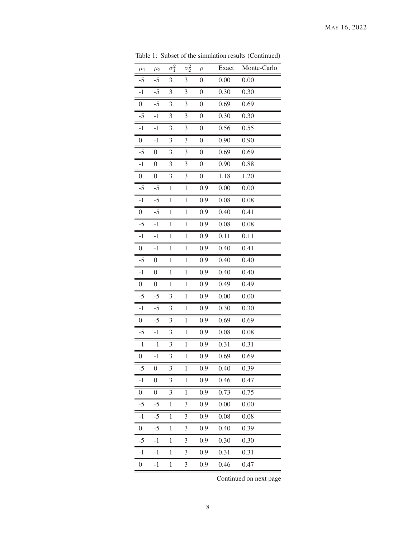| $\mu_1$          | $\mu_2$          | $\overline{\sigma_1^2}$ | $\overline{\sigma_2^2}$ | $\rho$           | Exact            | Monte-Carlo |
|------------------|------------------|-------------------------|-------------------------|------------------|------------------|-------------|
| $-5$             | $-5$             | 3                       | $\mathfrak{Z}$          | $\boldsymbol{0}$ | 0.00             | 0.00        |
| $-1$             | $-5$             | 3                       | 3                       | $\boldsymbol{0}$ | 0.30             | 0.30        |
| $\boldsymbol{0}$ | $-5$             | 3                       | 3                       | $\boldsymbol{0}$ | 0.69             | 0.69        |
| $-5$             | $-1$             | 3                       | 3                       | $\boldsymbol{0}$ | 0.30             | 0.30        |
| $-1$             | $-1$             | 3                       | 3                       | $\boldsymbol{0}$ | 0.56             | 0.55        |
| $\boldsymbol{0}$ | $-1$             | 3                       | 3                       | $\boldsymbol{0}$ | 0.90             | 0.90        |
| $-5$             | $\boldsymbol{0}$ | 3                       | 3                       | $\boldsymbol{0}$ | 0.69             | 0.69        |
| $-1$             | $\boldsymbol{0}$ | 3                       | 3                       | $\boldsymbol{0}$ | 0.90             | 0.88        |
| 0                | $\boldsymbol{0}$ | 3                       | 3                       | $\boldsymbol{0}$ | $\frac{1}{1.18}$ | 1.20        |
| $-5$             | $-5$             | $\mathbf{1}$            | $\mathbf{1}$            | 0.9              | 0.00             | 0.00        |
| $-1$             | $-5$             | $\mathbf{1}$            | $\,1$                   | 0.9              | 0.08             | 0.08        |
| $\boldsymbol{0}$ | $-5$             | $\mathbf{1}$            | $\mathbf{1}$            | 0.9              | 0.40             | 0.41        |
| $-5$             | $-1$             | $\mathbf{1}$            | $\mathbf{1}$            | 0.9              | 0.08             | 0.08        |
| $-1$             | $-1$             | $\mathbf{1}$            | $\mathbf{1}$            | 0.9              | 0.11             | 0.11        |
| 0                | $-1$             | 1                       | 1                       | 0.9              | 0.40             | 0.41        |
| $-5$             | $\boldsymbol{0}$ | $\mathbf{1}$            | $\mathbf{1}$            | 0.9              | 0.40             | 0.40        |
| $-1$             | $\boldsymbol{0}$ | $\mathbf{1}$            | 1                       | 0.9              | 0.40             | 0.40        |
| $\boldsymbol{0}$ | $\boldsymbol{0}$ | $\mathbf{1}$            | $\mathbf{1}$            | 0.9              | 0.49             | 0.49        |
| $-5$             | $-5$             | 3                       | $\mathbf{1}$            | 0.9              | 0.00             | 0.00        |
| $-1$             | $-5$             | 3                       | $\mathbf{1}$            | 0.9              | 0.30             | 0.30        |
| $\boldsymbol{0}$ | $-5$             | 3                       | $\mathbf{1}$            | 0.9              | 0.69             | 0.69        |
| $-5$             | $-1$             | 3                       | $\mathbf{1}$            | 0.9              | 0.08             | 0.08        |
| $-1$             | $-1$             | 3                       | $\mathbf{1}$            | 0.9              | 0.31             | 0.31        |
| $\boldsymbol{0}$ | $-1$             | 3                       | $\mathbf{1}$            | 0.9              | 0.69             | 0.69        |
| $-5$             | $\boldsymbol{0}$ | 3                       | $\mathbf{1}$            | 0.9              | 0.40             | 0.39        |
| -1               | $\boldsymbol{0}$ | 3                       | $\mathbf{1}$            | 0.9              | 0.46             | 0.47        |
| $\boldsymbol{0}$ | $\boldsymbol{0}$ | 3                       | $\mathbf{1}$            | 0.9              | 0.73             | 0.75        |
| -5               | $-5$             | $\mathbf{1}$            | 3                       | 0.9              | 0.00             | 0.00        |
| $-1$             | $-5$             | $\mathbf{1}$            | 3                       | 0.9              | 0.08             | 0.08        |
| 0                | $-5$             | $\mathbf{1}$            | 3                       | 0.9              | 0.40             | 0.39        |
| -5               | $-1$             | $\mathbf{1}$            | 3                       | 0.9              | 0.30             | 0.30        |
| $-1$             | $-1$             | $\mathbf{1}$            | 3                       | 0.9              | 0.31             | 0.31        |
| 0                | $^{\rm -1}$      | $\mathbf{1}$            | 3                       | 0.9              | 0.46             | 0.47        |

Table 1: Subset of the simulation results (Continued)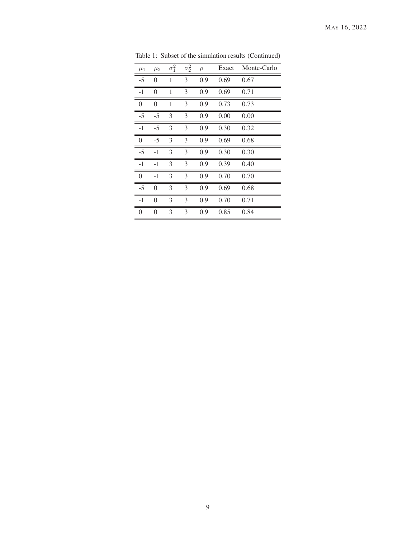| $\mu_1$  | $\mu_2$        | $\sigma_1^2$ | $\sigma_2^2$ | $\rho$ | Exact | Monte-Carlo |
|----------|----------------|--------------|--------------|--------|-------|-------------|
| $-5$     | $\theta$       | 1            | 3            | 0.9    | 0.69  | 0.67        |
| $-1$     | $\theta$       | 1            | 3            | 0.9    | 0.69  | 0.71        |
| $\theta$ | $\theta$       | 1            | 3            | 0.9    | 0.73  | 0.73        |
| $-5$     | -5             | 3            | 3            | 0.9    | 0.00  | 0.00        |
| $-1$     | $-5$           | 3            | 3            | 0.9    | 0.30  | 0.32        |
| $\theta$ | $-5$           | 3            | 3            | 0.9    | 0.69  | 0.68        |
| $-5$     | $-1$           | 3            | 3            | 0.9    | 0.30  | 0.30        |
| $-1$     | $-1$           | 3            | 3            | 0.9    | 0.39  | 0.40        |
| $\theta$ | $-1$           | 3            | 3            | 0.9    | 0.70  | 0.70        |
| $-5$     | $\theta$       | 3            | 3            | 0.9    | 0.69  | 0.68        |
| $-1$     | $\theta$       | 3            | 3            | 0.9    | 0.70  | 0.71        |
| 0        | $\overline{0}$ | 3            | 3            | 0.9    | 0.85  | 0.84        |

Table 1: Subset of the simulation results (Continued)